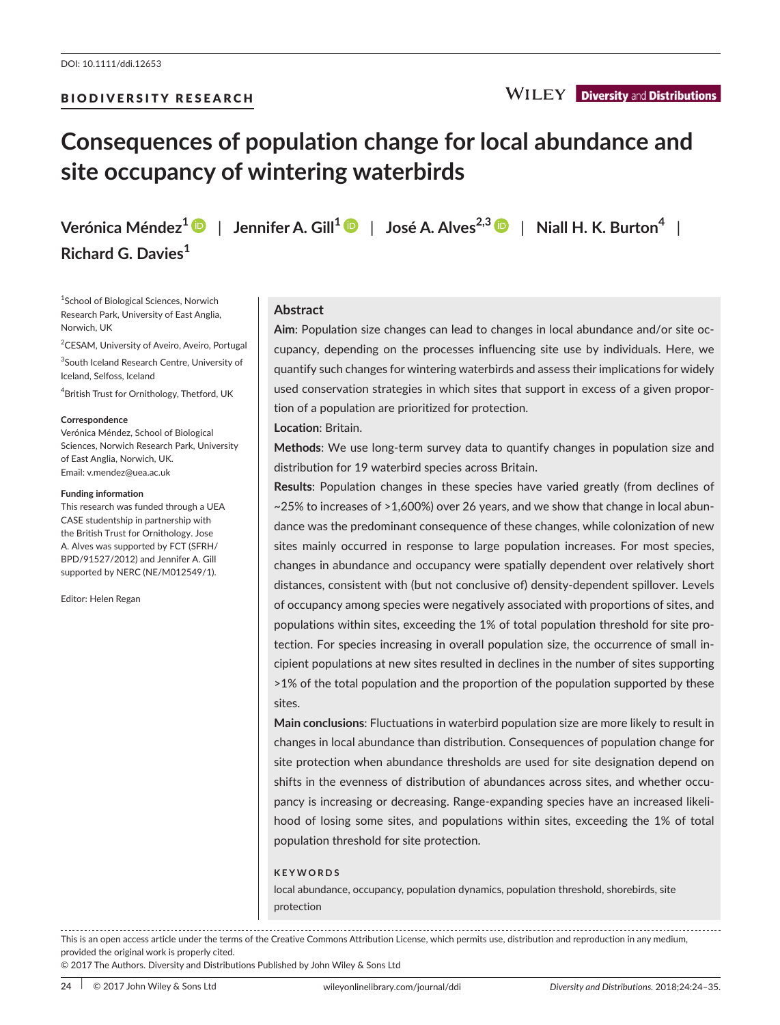# **Consequences of population change for local abundance and site occupancy of wintering waterbirds**

**Verónica Méndez[1](http://orcid.org/0000-0001-9476-4666)** | **Jennifer A. Gill[1](http://orcid.org/0000-0003-0167-6857)** | **José A. Alves2,[3](http://orcid.org/0000-0001-7182-0936)** | **Niall H. K. Burton<sup>4</sup>** | **Richard G. Davies<sup>1</sup>**

1 School of Biological Sciences, Norwich Research Park, University of East Anglia, Norwich, UK

<sup>2</sup>CESAM, University of Aveiro, Aveiro, Portugal

<sup>3</sup>South Iceland Research Centre, University of Iceland, Selfoss, Iceland

4 British Trust for Ornithology, Thetford, UK

#### **Correspondence**

Verónica Méndez, School of Biological Sciences, Norwich Research Park, University of East Anglia, Norwich, UK. Email: [v.mendez@uea.ac.uk](mailto:v.mendez@uea.ac.uk)

#### **Funding information**

This research was funded through a UEA CASE studentship in partnership with the British Trust for Ornithology. Jose A. Alves was supported by FCT (SFRH/ BPD/91527/2012) and Jennifer A. Gill supported by NERC (NE/M012549/1).

Editor: Helen Regan

# **Abstract**

**Aim**: Population size changes can lead to changes in local abundance and/or site occupancy, depending on the processes influencing site use by individuals. Here, we quantify such changes for wintering waterbirds and assess their implications for widely used conservation strategies in which sites that support in excess of a given proportion of a population are prioritized for protection.

### **Location**: Britain.

**Methods**: We use long-term survey data to quantify changes in population size and distribution for 19 waterbird species across Britain.

**Results**: Population changes in these species have varied greatly (from declines of ~25% to increases of >1,600%) over 26 years, and we show that change in local abundance was the predominant consequence of these changes, while colonization of new sites mainly occurred in response to large population increases. For most species, changes in abundance and occupancy were spatially dependent over relatively short distances, consistent with (but not conclusive of) density-dependent spillover. Levels of occupancy among species were negatively associated with proportions of sites, and populations within sites, exceeding the 1% of total population threshold for site protection. For species increasing in overall population size, the occurrence of small incipient populations at new sites resulted in declines in the number of sites supporting >1% of the total population and the proportion of the population supported by these sites.

**Main conclusions**: Fluctuations in waterbird population size are more likely to result in changes in local abundance than distribution. Consequences of population change for site protection when abundance thresholds are used for site designation depend on shifts in the evenness of distribution of abundances across sites, and whether occupancy is increasing or decreasing. Range-expanding species have an increased likelihood of losing some sites, and populations within sites, exceeding the 1% of total population threshold for site protection.

## **KEYWORDS**

local abundance, occupancy, population dynamics, population threshold, shorebirds, site protection

. . . . . . . . . . . . This is an open access article under the terms of the [Creative Commons Attribution](http://creativecommons.org/licenses/by/4.0/) License, which permits use, distribution and reproduction in any medium, provided the original work is properly cited.

© 2017 The Authors. Diversity and Distributions Published by John Wiley & Sons Ltd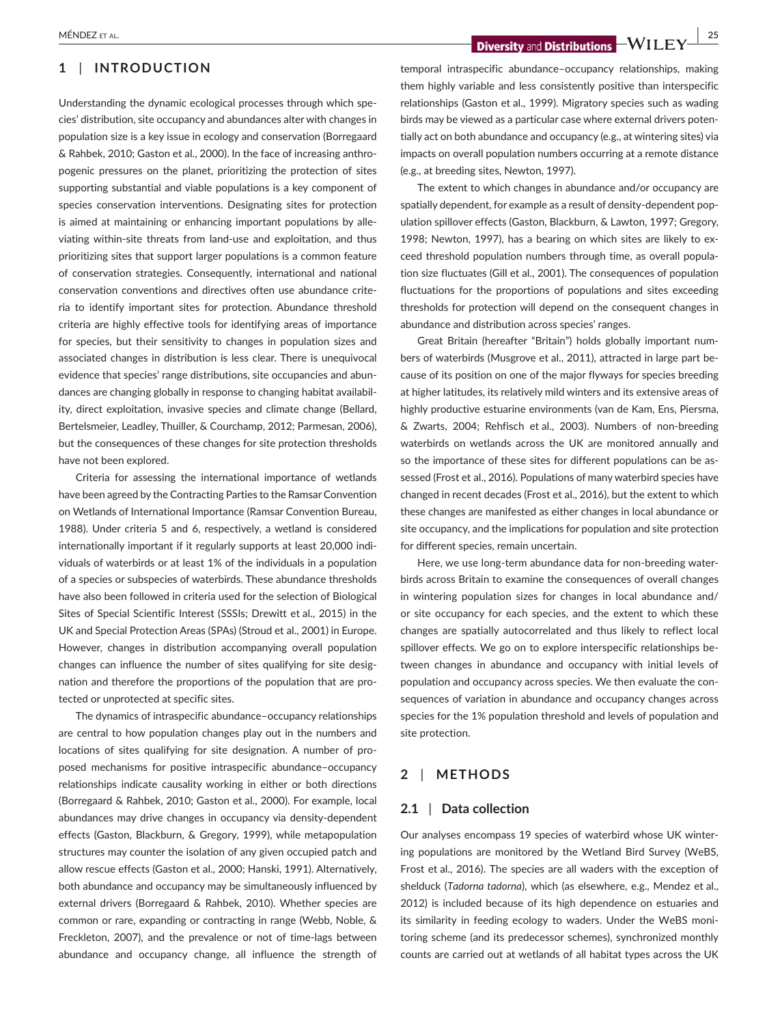## **1** | **INTRODUCTION**

Understanding the dynamic ecological processes through which species' distribution, site occupancy and abundances alter with changes in population size is a key issue in ecology and conservation (Borregaard & Rahbek, 2010; Gaston et al., 2000). In the face of increasing anthropogenic pressures on the planet, prioritizing the protection of sites supporting substantial and viable populations is a key component of species conservation interventions. Designating sites for protection is aimed at maintaining or enhancing important populations by alleviating within-site threats from land-use and exploitation, and thus prioritizing sites that support larger populations is a common feature of conservation strategies. Consequently, international and national conservation conventions and directives often use abundance criteria to identify important sites for protection. Abundance threshold criteria are highly effective tools for identifying areas of importance for species, but their sensitivity to changes in population sizes and associated changes in distribution is less clear. There is unequivocal evidence that species' range distributions, site occupancies and abundances are changing globally in response to changing habitat availability, direct exploitation, invasive species and climate change (Bellard, Bertelsmeier, Leadley, Thuiller, & Courchamp, 2012; Parmesan, 2006), but the consequences of these changes for site protection thresholds have not been explored.

Criteria for assessing the international importance of wetlands have been agreed by the Contracting Parties to the Ramsar Convention on Wetlands of International Importance (Ramsar Convention Bureau, 1988). Under criteria 5 and 6, respectively, a wetland is considered internationally important if it regularly supports at least 20,000 individuals of waterbirds or at least 1% of the individuals in a population of a species or subspecies of waterbirds. These abundance thresholds have also been followed in criteria used for the selection of Biological Sites of Special Scientific Interest (SSSIs; Drewitt et al., 2015) in the UK and Special Protection Areas (SPAs) (Stroud et al., 2001) in Europe. However, changes in distribution accompanying overall population changes can influence the number of sites qualifying for site designation and therefore the proportions of the population that are protected or unprotected at specific sites.

The dynamics of intraspecific abundance–occupancy relationships are central to how population changes play out in the numbers and locations of sites qualifying for site designation. A number of proposed mechanisms for positive intraspecific abundance–occupancy relationships indicate causality working in either or both directions (Borregaard & Rahbek, 2010; Gaston et al., 2000). For example, local abundances may drive changes in occupancy via density-dependent effects (Gaston, Blackburn, & Gregory, 1999), while metapopulation structures may counter the isolation of any given occupied patch and allow rescue effects (Gaston et al., 2000; Hanski, 1991). Alternatively, both abundance and occupancy may be simultaneously influenced by external drivers (Borregaard & Rahbek, 2010). Whether species are common or rare, expanding or contracting in range (Webb, Noble, & Freckleton, 2007), and the prevalence or not of time-lags between abundance and occupancy change, all influence the strength of

 **Diversity** and **Distributions**  $-WILEY$   $\frac{25}{25}$ 

temporal intraspecific abundance–occupancy relationships, making them highly variable and less consistently positive than interspecific relationships (Gaston et al., 1999). Migratory species such as wading birds may be viewed as a particular case where external drivers potentially act on both abundance and occupancy (e.g., at wintering sites) via impacts on overall population numbers occurring at a remote distance (e.g., at breeding sites, Newton, 1997).

The extent to which changes in abundance and/or occupancy are spatially dependent, for example as a result of density-dependent population spillover effects (Gaston, Blackburn, & Lawton, 1997; Gregory, 1998; Newton, 1997), has a bearing on which sites are likely to exceed threshold population numbers through time, as overall population size fluctuates (Gill et al., 2001). The consequences of population fluctuations for the proportions of populations and sites exceeding thresholds for protection will depend on the consequent changes in abundance and distribution across species' ranges.

Great Britain (hereafter "Britain") holds globally important numbers of waterbirds (Musgrove et al., 2011), attracted in large part because of its position on one of the major flyways for species breeding at higher latitudes, its relatively mild winters and its extensive areas of highly productive estuarine environments (van de Kam, Ens, Piersma, & Zwarts, 2004; Rehfisch et al., 2003). Numbers of non-breeding waterbirds on wetlands across the UK are monitored annually and so the importance of these sites for different populations can be assessed (Frost et al., 2016). Populations of many waterbird species have changed in recent decades (Frost et al., 2016), but the extent to which these changes are manifested as either changes in local abundance or site occupancy, and the implications for population and site protection for different species, remain uncertain.

Here, we use long-term abundance data for non-breeding waterbirds across Britain to examine the consequences of overall changes in wintering population sizes for changes in local abundance and/ or site occupancy for each species, and the extent to which these changes are spatially autocorrelated and thus likely to reflect local spillover effects. We go on to explore interspecific relationships between changes in abundance and occupancy with initial levels of population and occupancy across species. We then evaluate the consequences of variation in abundance and occupancy changes across species for the 1% population threshold and levels of population and site protection.

## **2** | **METHODS**

## **2.1** | **Data collection**

Our analyses encompass 19 species of waterbird whose UK wintering populations are monitored by the Wetland Bird Survey (WeBS, Frost et al., 2016). The species are all waders with the exception of shelduck (*Tadorna tadorna*), which (as elsewhere, e.g., Mendez et al., 2012) is included because of its high dependence on estuaries and its similarity in feeding ecology to waders. Under the WeBS monitoring scheme (and its predecessor schemes), synchronized monthly counts are carried out at wetlands of all habitat types across the UK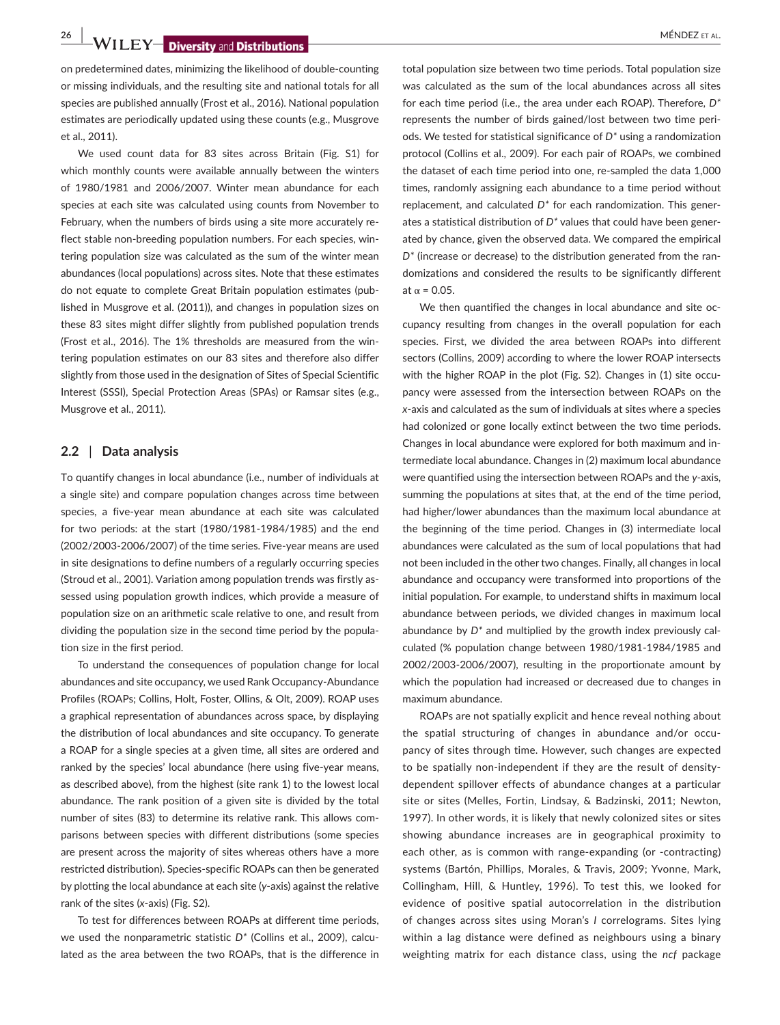# **26 WILEY Diversity** and Distributions

on predetermined dates, minimizing the likelihood of double-counting or missing individuals, and the resulting site and national totals for all species are published annually (Frost et al., 2016). National population estimates are periodically updated using these counts (e.g., Musgrove et al., 2011).

We used count data for 83 sites across Britain (Fig. S1) for which monthly counts were available annually between the winters of 1980/1981 and 2006/2007. Winter mean abundance for each species at each site was calculated using counts from November to February, when the numbers of birds using a site more accurately reflect stable non-breeding population numbers. For each species, wintering population size was calculated as the sum of the winter mean abundances (local populations) across sites. Note that these estimates do not equate to complete Great Britain population estimates (published in Musgrove et al. (2011)), and changes in population sizes on these 83 sites might differ slightly from published population trends (Frost et al., 2016). The 1% thresholds are measured from the wintering population estimates on our 83 sites and therefore also differ slightly from those used in the designation of Sites of Special Scientific Interest (SSSI), Special Protection Areas (SPAs) or Ramsar sites (e.g., Musgrove et al., 2011).

### **2.2** | **Data analysis**

To quantify changes in local abundance (i.e., number of individuals at a single site) and compare population changes across time between species, a five-year mean abundance at each site was calculated for two periods: at the start (1980/1981-1984/1985) and the end (2002/2003-2006/2007) of the time series. Five-year means are used in site designations to define numbers of a regularly occurring species (Stroud et al., 2001). Variation among population trends was firstly assessed using population growth indices, which provide a measure of population size on an arithmetic scale relative to one, and result from dividing the population size in the second time period by the population size in the first period.

To understand the consequences of population change for local abundances and site occupancy, we used Rank Occupancy-Abundance Profiles (ROAPs; Collins, Holt, Foster, Ollins, & Olt, 2009). ROAP uses a graphical representation of abundances across space, by displaying the distribution of local abundances and site occupancy. To generate a ROAP for a single species at a given time, all sites are ordered and ranked by the species' local abundance (here using five-year means, as described above), from the highest (site rank 1) to the lowest local abundance. The rank position of a given site is divided by the total number of sites (83) to determine its relative rank. This allows comparisons between species with different distributions (some species are present across the majority of sites whereas others have a more restricted distribution). Species-specific ROAPs can then be generated by plotting the local abundance at each site (*y*-axis) against the relative rank of the sites (*x*-axis) (Fig. S2).

To test for differences between ROAPs at different time periods, we used the nonparametric statistic *D\** (Collins et al., 2009), calculated as the area between the two ROAPs, that is the difference in

total population size between two time periods. Total population size was calculated as the sum of the local abundances across all sites for each time period (i.e., the area under each ROAP). Therefore, *D\** represents the number of birds gained/lost between two time periods. We tested for statistical significance of *D\** using a randomization protocol (Collins et al., 2009). For each pair of ROAPs, we combined the dataset of each time period into one, re-sampled the data 1,000 times, randomly assigning each abundance to a time period without replacement, and calculated *D\** for each randomization. This generates a statistical distribution of *D\** values that could have been generated by chance, given the observed data. We compared the empirical *D\** (increase or decrease) to the distribution generated from the randomizations and considered the results to be significantly different at  $\alpha$  = 0.05.

We then quantified the changes in local abundance and site occupancy resulting from changes in the overall population for each species. First, we divided the area between ROAPs into different sectors (Collins, 2009) according to where the lower ROAP intersects with the higher ROAP in the plot (Fig. S2). Changes in (1) site occupancy were assessed from the intersection between ROAPs on the *x*-axis and calculated as the sum of individuals at sites where a species had colonized or gone locally extinct between the two time periods. Changes in local abundance were explored for both maximum and intermediate local abundance. Changes in (2) maximum local abundance were quantified using the intersection between ROAPs and the *y*-axis, summing the populations at sites that, at the end of the time period, had higher/lower abundances than the maximum local abundance at the beginning of the time period. Changes in (3) intermediate local abundances were calculated as the sum of local populations that had not been included in the other two changes. Finally, all changes in local abundance and occupancy were transformed into proportions of the initial population. For example, to understand shifts in maximum local abundance between periods, we divided changes in maximum local abundance by *D\** and multiplied by the growth index previously calculated (% population change between 1980/1981-1984/1985 and 2002/2003-2006/2007), resulting in the proportionate amount by which the population had increased or decreased due to changes in maximum abundance.

ROAPs are not spatially explicit and hence reveal nothing about the spatial structuring of changes in abundance and/or occupancy of sites through time. However, such changes are expected to be spatially non-independent if they are the result of densitydependent spillover effects of abundance changes at a particular site or sites (Melles, Fortin, Lindsay, & Badzinski, 2011; Newton, 1997). In other words, it is likely that newly colonized sites or sites showing abundance increases are in geographical proximity to each other, as is common with range-expanding (or -contracting) systems (Bartón, Phillips, Morales, & Travis, 2009; Yvonne, Mark, Collingham, Hill, & Huntley, 1996). To test this, we looked for evidence of positive spatial autocorrelation in the distribution of changes across sites using Moran's *I* correlograms. Sites lying within a lag distance were defined as neighbours using a binary weighting matrix for each distance class, using the *ncf* package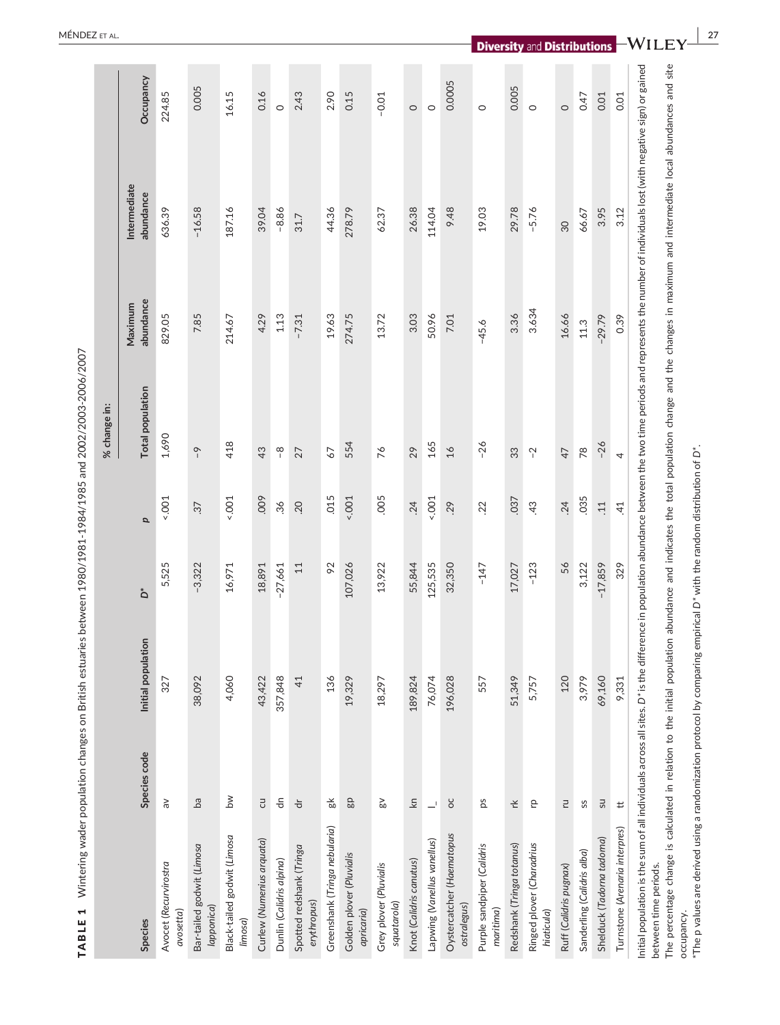|                                                                                                                                                                                                                                                                                                                                                                                                                                                                                                                                                                                                  |                                 |                    |           |                 | % change in:            |                      |                           |           |
|--------------------------------------------------------------------------------------------------------------------------------------------------------------------------------------------------------------------------------------------------------------------------------------------------------------------------------------------------------------------------------------------------------------------------------------------------------------------------------------------------------------------------------------------------------------------------------------------------|---------------------------------|--------------------|-----------|-----------------|-------------------------|----------------------|---------------------------|-----------|
| <b>Species</b>                                                                                                                                                                                                                                                                                                                                                                                                                                                                                                                                                                                   | Species code                    | Initial population | ەً        | p               | <b>Total population</b> | abundance<br>Maximum | Intermediate<br>abundance | Occupancy |
| Avocet (Recurvirostra<br>avosetta)                                                                                                                                                                                                                                                                                                                                                                                                                                                                                                                                                               | $\geqslant$                     | 327                | 5,525     | $1001 -$        | 1,690                   | 829.05               | 636.39                    | 224.85    |
| Bar-tailed godwit (Limosa<br>(lapponica                                                                                                                                                                                                                                                                                                                                                                                                                                                                                                                                                          | $\mathsf{B}^{\mathsf{d}}$       | 38,092             | $-3,322$  | $\ddot{c}$      | $\sim$                  | 7.85                 | $-16.58$                  | 0.005     |
| Black-tailed godwit (Limosa<br>limosa)                                                                                                                                                                                                                                                                                                                                                                                                                                                                                                                                                           | $\geq$                          | 4,060              | 16,971    | 500.5           | 418                     | 214.67               | 187.16                    | 16.15     |
| Curlew (Numenius arquata)                                                                                                                                                                                                                                                                                                                                                                                                                                                                                                                                                                        | $\Xi$                           | 43,422             | 18,891    | ,009            | 43                      | 4.29                 | 39.04                     | 0.16      |
| Dunlin (Calidris alpina)                                                                                                                                                                                                                                                                                                                                                                                                                                                                                                                                                                         | $\frac{\mathsf{c}}{\mathsf{d}}$ | 357,848            | $-27,661$ | $36$            | $\frac{8}{1}$           | 1.13                 | $-8.86$                   | $\circ$   |
| Spotted redshank (Tringa<br>erythropus)                                                                                                                                                                                                                                                                                                                                                                                                                                                                                                                                                          | $\overleftarrow{\sigma}$        | 41                 | $11\,$    | .20             | 27                      | $-7.31$              | 31.7                      | 2.43      |
| Greenshank (Tringa nebularia)                                                                                                                                                                                                                                                                                                                                                                                                                                                                                                                                                                    | $\frac{1}{60}$                  | 136                | 92        | 015             | 67                      | 19.63                | 44.36                     | 2.90      |
| Golden plover (Pluvialis<br>apricaria)                                                                                                                                                                                                                                                                                                                                                                                                                                                                                                                                                           | 99                              | 19,329             | 107,026   | 500.5           | 554                     | 274.75               | 278.79                    | 0.15      |
| Grey plover (Pluvialis<br>squatarola)                                                                                                                                                                                                                                                                                                                                                                                                                                                                                                                                                            | $\mathbb{S}^0$                  | 18,297             | 13,922    | .005            | 76                      | 13.72                | 62.37                     | $-0.01$   |
| Knot (Calidris canutus)                                                                                                                                                                                                                                                                                                                                                                                                                                                                                                                                                                          | $\widetilde{\Xi}$               | 189,824            | 55,844    | .24             | 29                      | 3.03                 | 26.38                     | $\circ$   |
| Lapwing (Vanellus vanellus)                                                                                                                                                                                                                                                                                                                                                                                                                                                                                                                                                                      | $\overline{\phantom{0}}$        | 76,074             | 125,535   | $-001$          | 165                     | 50.96                | 114.04                    | $\circ$   |
| Oystercatcher (Haematopus<br>ostralegus)                                                                                                                                                                                                                                                                                                                                                                                                                                                                                                                                                         | OC                              | 196,028            | 32,350    | 29              | 16                      | 7.01                 | 9.48                      | 0.0005    |
| Purple sandpiper (Calidris<br>maritima)                                                                                                                                                                                                                                                                                                                                                                                                                                                                                                                                                          | Sd                              | 557                | $-147$    | $22$            | $-26$                   | $-45.6$              | 19.03                     | $\circ$   |
| Redshank (Tringa totanus)                                                                                                                                                                                                                                                                                                                                                                                                                                                                                                                                                                        | さん                              | 51,349             | 17,027    | .037            | 33                      | 3.36                 | 29.78                     | 0.005     |
| Ringed plover (Charadrius<br>hiaticula)                                                                                                                                                                                                                                                                                                                                                                                                                                                                                                                                                          | ę                               | 5,757              | $-123$    | 43              | $\sim$                  | 3.634                | $-5.76$                   | $\circ$   |
| Ruff (Calidris pugnax)                                                                                                                                                                                                                                                                                                                                                                                                                                                                                                                                                                           | E                               | 120                | 56        | .24             | 47                      | 16.66                | 30                        | $\circ$   |
| Sanderling (Calidris alba)                                                                                                                                                                                                                                                                                                                                                                                                                                                                                                                                                                       | SS                              | 3,979              | 3,122     | .035            | $78$                    | 11.3                 | 66.67                     | 0.47      |
| Shelduck (Tadorna tadorna)                                                                                                                                                                                                                                                                                                                                                                                                                                                                                                                                                                       | <b>US</b>                       | 69,160             | $-17,859$ | $\overline{11}$ | $-26$                   | $-29.79$             | 3.95                      | 0.01      |
| Turnstone (Arenaria interpres)                                                                                                                                                                                                                                                                                                                                                                                                                                                                                                                                                                   | $\mathrel{\sharp}$              | 9,331              | 329       | $\overline{4}$  | 4                       | 0.39                 | 3.12                      | 0.01      |
| Initial population is the sum of all individuals across all sites. D* is the difference in population abundance between the two time periods and represents the number of individuals lost (with negative sign) or gained<br>The percentage change is calculated in relation to the initial population abundance and indicates the total population change and the changes in maximum and intermediate local abundances and site<br>The p values are derived using a randomization protocol by comparing empirical D* with the random distribution of D*.<br>between time periods.<br>occupancy. |                                 |                    |           |                 |                         |                      |                           |           |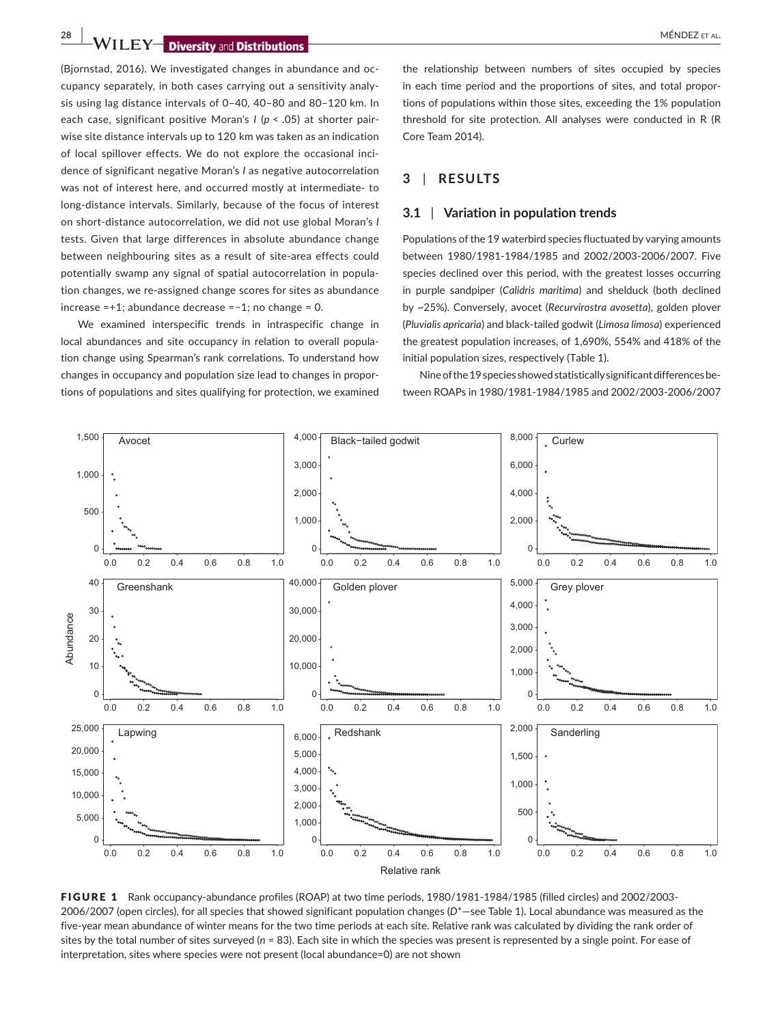**28 WILEY Diversity and Distributions** 

(Bjornstad, 2016). We investigated changes in abundance and occupancy separately, in both cases carrying out a sensitivity analysis using lag distance intervals of 0–40, 40–80 and 80–120 km. In each case, significant positive Moran's *I* (*p* < .05) at shorter pairwise site distance intervals up to 120 km was taken as an indication of local spillover effects. We do not explore the occasional incidence of significant negative Moran's *I* as negative autocorrelation was not of interest here, and occurred mostly at intermediate- to long-distance intervals. Similarly, because of the focus of interest on short-distance autocorrelation, we did not use global Moran's *I* tests. Given that large differences in absolute abundance change between neighbouring sites as a result of site-area effects could potentially swamp any signal of spatial autocorrelation in population changes, we re-assigned change scores for sites as abundance increase =+1; abundance decrease =−1; no change = 0.

We examined interspecific trends in intraspecific change in local abundances and site occupancy in relation to overall population change using Spearman's rank correlations. To understand how changes in occupancy and population size lead to changes in proportions of populations and sites qualifying for protection, we examined

the relationship between numbers of sites occupied by species in each time period and the proportions of sites, and total proportions of populations within those sites, exceeding the 1% population threshold for site protection. All analyses were conducted in R (R Core Team 2014).

# **3** | **RESULTS**

## **3.1** | **Variation in population trends**

Populations of the 19 waterbird species fluctuated by varying amounts between 1980/1981-1984/1985 and 2002/2003-2006/2007. Five species declined over this period, with the greatest losses occurring in purple sandpiper (*Calidris maritima*) and shelduck (both declined by ~25%). Conversely, avocet (*Recurvirostra avosetta*), golden plover (*Pluvialis apricaria*) and black-tailed godwit (*Limosa limosa*) experienced the greatest population increases, of 1,690%, 554% and 418% of the initial population sizes, respectively (Table 1).

Nine of the 19 species showed statistically significant differences between ROAPs in 1980/1981-1984/1985 and 2002/2003-2006/2007



FIGURE 1 Rank occupancy-abundance profiles (ROAP) at two time periods, 1980/1981-1984/1985 (filled circles) and 2002/2003- 2006/2007 (open circles), for all species that showed significant population changes (*D*\*—see Table 1). Local abundance was measured as the five-year mean abundance of winter means for the two time periods at each site. Relative rank was calculated by dividing the rank order of sites by the total number of sites surveyed (*n* = 83). Each site in which the species was present is represented by a single point. For ease of interpretation, sites where species were not present (local abundance=0) are not shown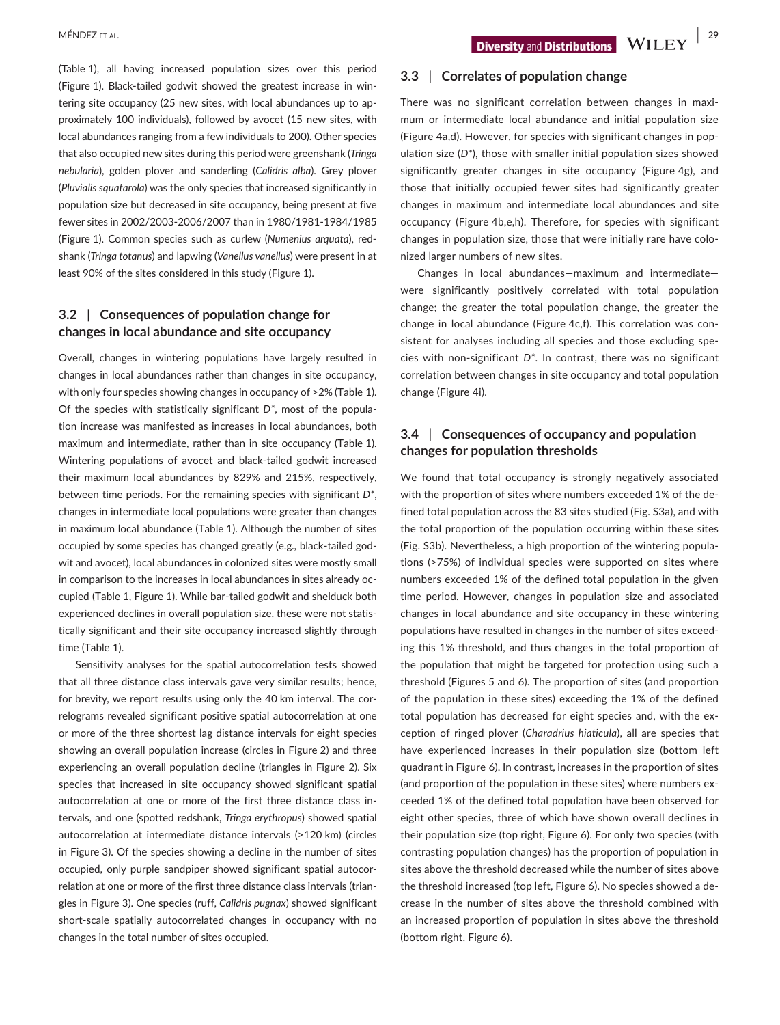(Table 1), all having increased population sizes over this period (Figure 1). Black-tailed godwit showed the greatest increase in wintering site occupancy (25 new sites, with local abundances up to approximately 100 individuals), followed by avocet (15 new sites, with local abundances ranging from a few individuals to 200). Other species that also occupied new sites during this period were greenshank (*Tringa nebularia*), golden plover and sanderling (*Calidris alba*). Grey plover (*Pluvialis squatarola*) was the only species that increased significantly in population size but decreased in site occupancy, being present at five fewer sites in 2002/2003-2006/2007 than in 1980/1981-1984/1985 (Figure 1). Common species such as curlew (*Numenius arquata*), redshank (*Tringa totanus*) and lapwing (*Vanellus vanellus*) were present in at least 90% of the sites considered in this study (Figure 1).

# **3.2** | **Consequences of population change for changes in local abundance and site occupancy**

Overall, changes in wintering populations have largely resulted in changes in local abundances rather than changes in site occupancy, with only four species showing changes in occupancy of >2% (Table 1). Of the species with statistically significant *D\**, most of the population increase was manifested as increases in local abundances, both maximum and intermediate, rather than in site occupancy (Table 1). Wintering populations of avocet and black-tailed godwit increased their maximum local abundances by 829% and 215%, respectively, between time periods. For the remaining species with significant *D\**, changes in intermediate local populations were greater than changes in maximum local abundance (Table 1). Although the number of sites occupied by some species has changed greatly (e.g*.,* black-tailed godwit and avocet), local abundances in colonized sites were mostly small in comparison to the increases in local abundances in sites already occupied (Table 1, Figure 1). While bar-tailed godwit and shelduck both experienced declines in overall population size, these were not statistically significant and their site occupancy increased slightly through time (Table 1).

Sensitivity analyses for the spatial autocorrelation tests showed that all three distance class intervals gave very similar results; hence, for brevity, we report results using only the 40 km interval. The correlograms revealed significant positive spatial autocorrelation at one or more of the three shortest lag distance intervals for eight species showing an overall population increase (circles in Figure 2) and three experiencing an overall population decline (triangles in Figure 2). Six species that increased in site occupancy showed significant spatial autocorrelation at one or more of the first three distance class intervals, and one (spotted redshank, *Tringa erythropus*) showed spatial autocorrelation at intermediate distance intervals (>120 km) (circles in Figure 3). Of the species showing a decline in the number of sites occupied, only purple sandpiper showed significant spatial autocorrelation at one or more of the first three distance class intervals (triangles in Figure 3). One species (ruff, *Calidris pugnax*) showed significant short-scale spatially autocorrelated changes in occupancy with no changes in the total number of sites occupied.

## **3.3** | **Correlates of population change**

There was no significant correlation between changes in maximum or intermediate local abundance and initial population size (Figure 4a,d). However, for species with significant changes in population size (*D\**), those with smaller initial population sizes showed significantly greater changes in site occupancy (Figure 4g), and those that initially occupied fewer sites had significantly greater changes in maximum and intermediate local abundances and site occupancy (Figure 4b,e,h). Therefore, for species with significant changes in population size, those that were initially rare have colonized larger numbers of new sites.

Changes in local abundances—maximum and intermediate were significantly positively correlated with total population change; the greater the total population change, the greater the change in local abundance (Figure 4c,f). This correlation was consistent for analyses including all species and those excluding species with non-significant *D\**. In contrast, there was no significant correlation between changes in site occupancy and total population change (Figure 4i).

## **3.4** | **Consequences of occupancy and population changes for population thresholds**

We found that total occupancy is strongly negatively associated with the proportion of sites where numbers exceeded 1% of the defined total population across the 83 sites studied (Fig. S3a), and with the total proportion of the population occurring within these sites (Fig. S3b). Nevertheless, a high proportion of the wintering populations (>75%) of individual species were supported on sites where numbers exceeded 1% of the defined total population in the given time period. However, changes in population size and associated changes in local abundance and site occupancy in these wintering populations have resulted in changes in the number of sites exceeding this 1% threshold, and thus changes in the total proportion of the population that might be targeted for protection using such a threshold (Figures 5 and 6). The proportion of sites (and proportion of the population in these sites) exceeding the 1% of the defined total population has decreased for eight species and, with the exception of ringed plover (*Charadrius hiaticula*), all are species that have experienced increases in their population size (bottom left quadrant in Figure 6). In contrast, increases in the proportion of sites (and proportion of the population in these sites) where numbers exceeded 1% of the defined total population have been observed for eight other species, three of which have shown overall declines in their population size (top right, Figure 6). For only two species (with contrasting population changes) has the proportion of population in sites above the threshold decreased while the number of sites above the threshold increased (top left, Figure 6). No species showed a decrease in the number of sites above the threshold combined with an increased proportion of population in sites above the threshold (bottom right, Figure 6).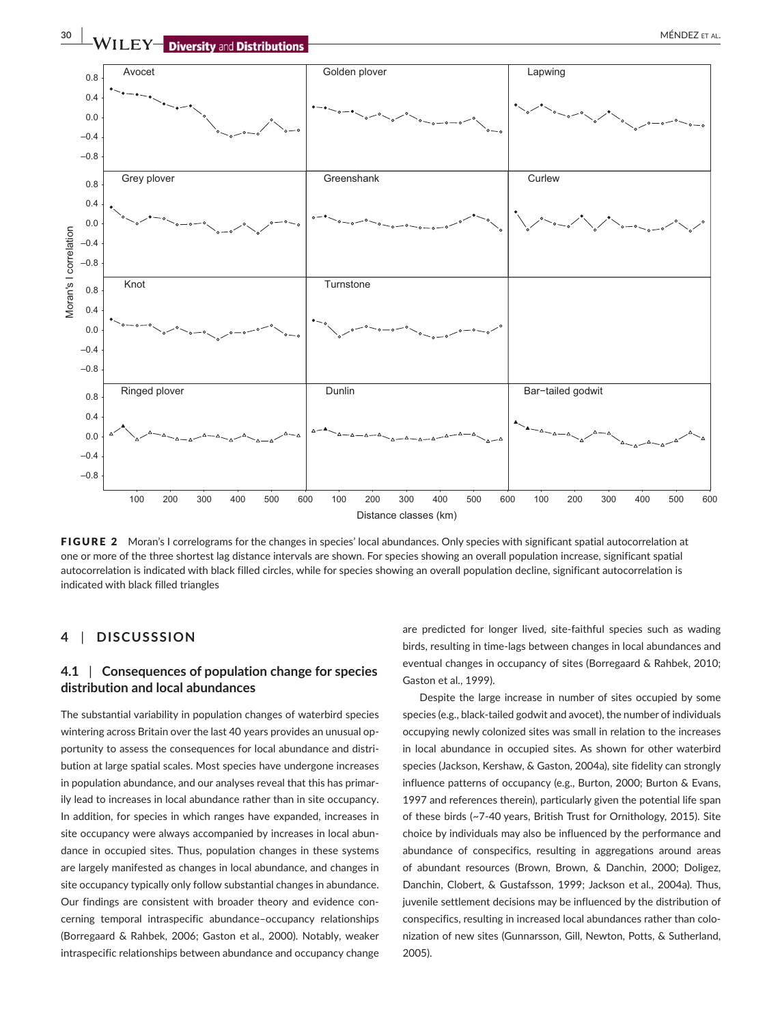

Distance classes (km)

FIGURE 2 Moran's I correlograms for the changes in species' local abundances. Only species with significant spatial autocorrelation at one or more of the three shortest lag distance intervals are shown. For species showing an overall population increase, significant spatial autocorrelation is indicated with black filled circles, while for species showing an overall population decline, significant autocorrelation is indicated with black filled triangles

## **4** | **DISCUSSSION**

# **4.1** | **Consequences of population change for species distribution and local abundances**

The substantial variability in population changes of waterbird species wintering across Britain over the last 40 years provides an unusual opportunity to assess the consequences for local abundance and distribution at large spatial scales. Most species have undergone increases in population abundance, and our analyses reveal that this has primarily lead to increases in local abundance rather than in site occupancy. In addition, for species in which ranges have expanded, increases in site occupancy were always accompanied by increases in local abundance in occupied sites. Thus, population changes in these systems are largely manifested as changes in local abundance, and changes in site occupancy typically only follow substantial changes in abundance. Our findings are consistent with broader theory and evidence concerning temporal intraspecific abundance–occupancy relationships (Borregaard & Rahbek, 2006; Gaston et al., 2000). Notably, weaker intraspecific relationships between abundance and occupancy change

are predicted for longer lived, site-faithful species such as wading birds, resulting in time-lags between changes in local abundances and eventual changes in occupancy of sites (Borregaard & Rahbek, 2010; Gaston et al., 1999).

Despite the large increase in number of sites occupied by some species (e.g., black-tailed godwit and avocet), the number of individuals occupying newly colonized sites was small in relation to the increases in local abundance in occupied sites. As shown for other waterbird species (Jackson, Kershaw, & Gaston, 2004a), site fidelity can strongly influence patterns of occupancy (e.g., Burton, 2000; Burton & Evans, 1997 and references therein), particularly given the potential life span of these birds (~7-40 years, British Trust for Ornithology, 2015). Site choice by individuals may also be influenced by the performance and abundance of conspecifics, resulting in aggregations around areas of abundant resources (Brown, Brown, & Danchin, 2000; Doligez, Danchin, Clobert, & Gustafsson, 1999; Jackson et al., 2004a). Thus, juvenile settlement decisions may be influenced by the distribution of conspecifics, resulting in increased local abundances rather than colonization of new sites (Gunnarsson, Gill, Newton, Potts, & Sutherland, 2005).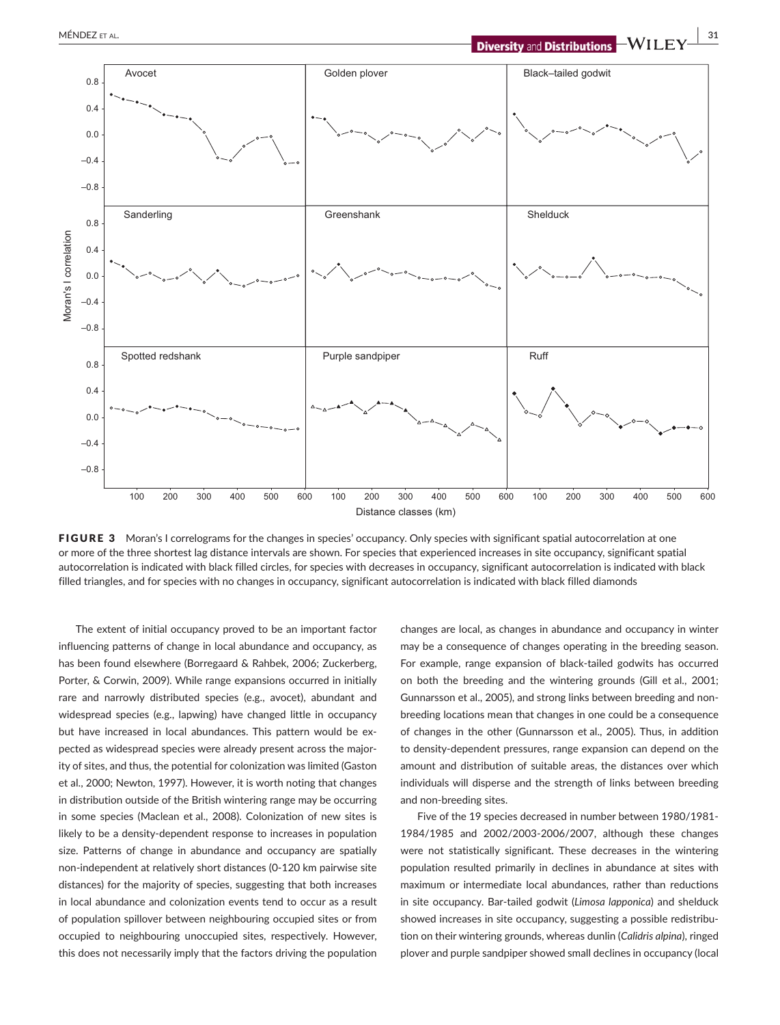

FIGURE 3 Moran's I correlograms for the changes in species' occupancy. Only species with significant spatial autocorrelation at one or more of the three shortest lag distance intervals are shown. For species that experienced increases in site occupancy, significant spatial autocorrelation is indicated with black filled circles, for species with decreases in occupancy, significant autocorrelation is indicated with black filled triangles, and for species with no changes in occupancy, significant autocorrelation is indicated with black filled diamonds

The extent of initial occupancy proved to be an important factor influencing patterns of change in local abundance and occupancy, as has been found elsewhere (Borregaard & Rahbek, 2006; Zuckerberg, Porter, & Corwin, 2009). While range expansions occurred in initially rare and narrowly distributed species (e.g., avocet), abundant and widespread species (e.g., lapwing) have changed little in occupancy but have increased in local abundances. This pattern would be expected as widespread species were already present across the majority of sites, and thus, the potential for colonization was limited (Gaston et al., 2000; Newton, 1997). However, it is worth noting that changes in distribution outside of the British wintering range may be occurring in some species (Maclean et al., 2008). Colonization of new sites is likely to be a density-dependent response to increases in population size. Patterns of change in abundance and occupancy are spatially non-independent at relatively short distances (0-120 km pairwise site distances) for the majority of species, suggesting that both increases in local abundance and colonization events tend to occur as a result of population spillover between neighbouring occupied sites or from occupied to neighbouring unoccupied sites, respectively. However, this does not necessarily imply that the factors driving the population changes are local, as changes in abundance and occupancy in winter may be a consequence of changes operating in the breeding season. For example, range expansion of black-tailed godwits has occurred on both the breeding and the wintering grounds (Gill et al., 2001; Gunnarsson et al., 2005), and strong links between breeding and nonbreeding locations mean that changes in one could be a consequence of changes in the other (Gunnarsson et al., 2005). Thus, in addition to density-dependent pressures, range expansion can depend on the amount and distribution of suitable areas, the distances over which individuals will disperse and the strength of links between breeding and non-breeding sites.

Five of the 19 species decreased in number between 1980/1981- 1984/1985 and 2002/2003-2006/2007, although these changes were not statistically significant. These decreases in the wintering population resulted primarily in declines in abundance at sites with maximum or intermediate local abundances, rather than reductions in site occupancy. Bar-tailed godwit (*Limosa lapponica*) and shelduck showed increases in site occupancy, suggesting a possible redistribution on their wintering grounds, whereas dunlin (*Calidris alpina*), ringed plover and purple sandpiper showed small declines in occupancy (local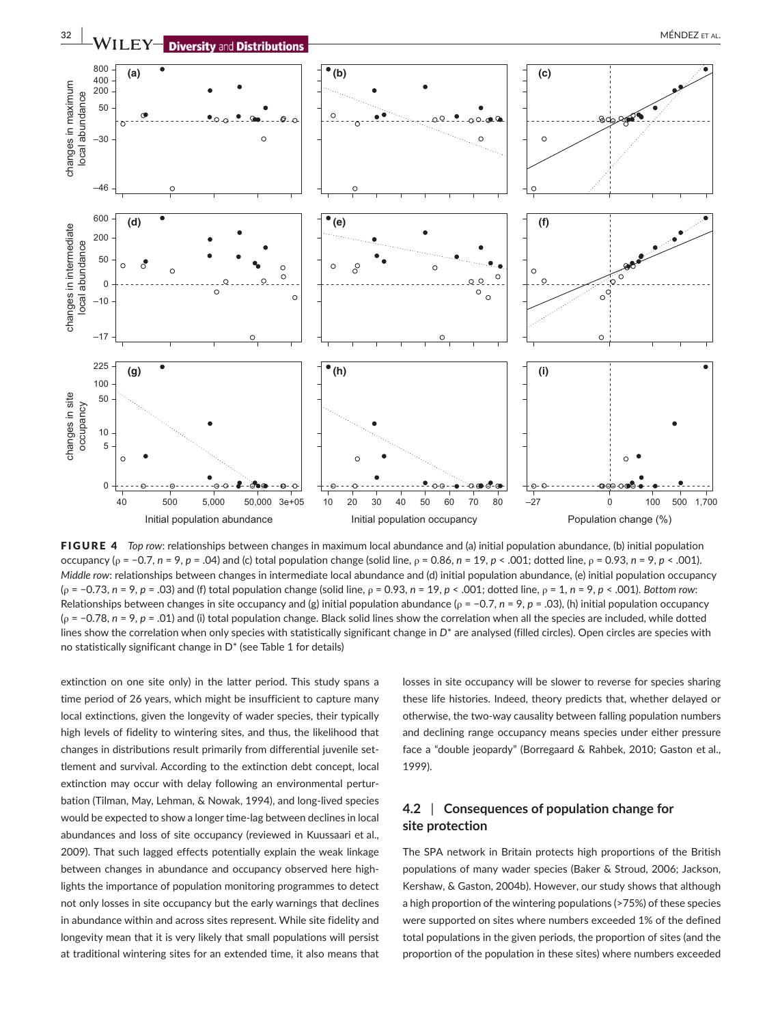

**FIGURE 4** *Top row: relationships between changes in maximum local abundance and (a) initial population abundance, (b) initial population* occupancy (ρ = −0.7, *n* = 9, *p* = .04) and (c) total population change (solid line, ρ = 0.86, *n* = 19, *p* < .001; dotted line, ρ = 0.93, *n* = 9, *p* < .001). *Middle row*: relationships between changes in intermediate local abundance and (d) initial population abundance, (e) initial population occupancy (ρ = −0.73, *n* = 9, *p* = .03) and (f) total population change (solid line, ρ = 0.93, *n* = 19, *p* < .001; dotted line, ρ = 1, *n* = 9, *p* < .001). *Bottom row*: Relationships between changes in site occupancy and (g) initial population abundance (ρ = −0.7, *n* = 9, *p* = .03), (h) initial population occupancy (ρ = −0.78, *n* = 9, *p* = .01) and (i) total population change. Black solid lines show the correlation when all the species are included, while dotted lines show the correlation when only species with statistically significant change in  $D^*$  are analysed (filled circles). Open circles are species with no statistically significant change in D\* (see Table 1 for details)

extinction on one site only) in the latter period. This study spans a time period of 26 years, which might be insufficient to capture many local extinctions, given the longevity of wader species, their typically high levels of fidelity to wintering sites, and thus, the likelihood that changes in distributions result primarily from differential juvenile settlement and survival. According to the extinction debt concept, local extinction may occur with delay following an environmental perturbation (Tilman, May, Lehman, & Nowak, 1994), and long-lived species would be expected to show a longer time-lag between declines in local abundances and loss of site occupancy (reviewed in Kuussaari et al., 2009). That such lagged effects potentially explain the weak linkage between changes in abundance and occupancy observed here highlights the importance of population monitoring programmes to detect not only losses in site occupancy but the early warnings that declines in abundance within and across sites represent. While site fidelity and longevity mean that it is very likely that small populations will persist at traditional wintering sites for an extended time, it also means that

losses in site occupancy will be slower to reverse for species sharing these life histories. Indeed, theory predicts that, whether delayed or otherwise, the two-way causality between falling population numbers and declining range occupancy means species under either pressure face a "double jeopardy" (Borregaard & Rahbek, 2010; Gaston et al., 1999).

# **4.2** | **Consequences of population change for site protection**

The SPA network in Britain protects high proportions of the British populations of many wader species (Baker & Stroud, 2006; Jackson, Kershaw, & Gaston, 2004b). However, our study shows that although a high proportion of the wintering populations (>75%) of these species were supported on sites where numbers exceeded 1% of the defined total populations in the given periods, the proportion of sites (and the proportion of the population in these sites) where numbers exceeded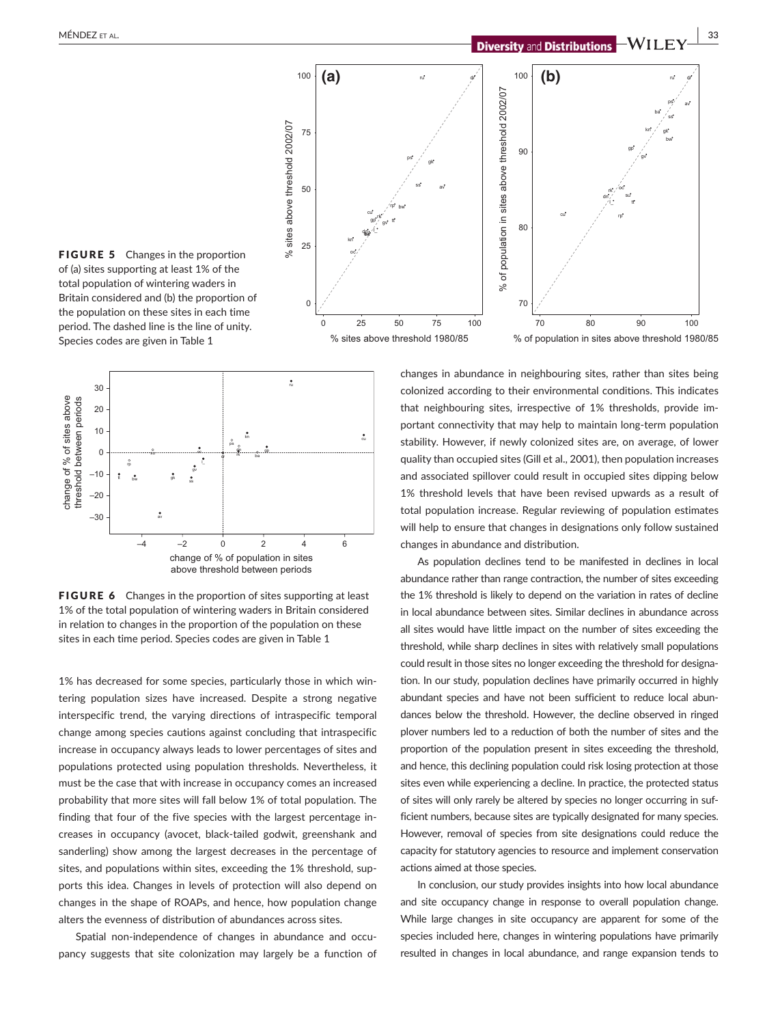

FIGURE 5 Changes in the proportion of (a) sites supporting at least 1% of the total population of wintering waders in Britain considered and (b) the proportion of the population on these sites in each time period. The dashed line is the line of unity. Species codes are given in Table 1



FIGURE 6 Changes in the proportion of sites supporting at least 1% of the total population of wintering waders in Britain considered in relation to changes in the proportion of the population on these sites in each time period. Species codes are given in Table 1

1% has decreased for some species, particularly those in which wintering population sizes have increased. Despite a strong negative interspecific trend, the varying directions of intraspecific temporal change among species cautions against concluding that intraspecific increase in occupancy always leads to lower percentages of sites and populations protected using population thresholds. Nevertheless, it must be the case that with increase in occupancy comes an increased probability that more sites will fall below 1% of total population. The finding that four of the five species with the largest percentage increases in occupancy (avocet, black-tailed godwit, greenshank and sanderling) show among the largest decreases in the percentage of sites, and populations within sites, exceeding the 1% threshold, supports this idea. Changes in levels of protection will also depend on changes in the shape of ROAPs, and hence, how population change alters the evenness of distribution of abundances across sites.

Spatial non-independence of changes in abundance and occupancy suggests that site colonization may largely be a function of changes in abundance in neighbouring sites, rather than sites being colonized according to their environmental conditions. This indicates that neighbouring sites, irrespective of 1% thresholds, provide important connectivity that may help to maintain long-term population stability. However, if newly colonized sites are, on average, of lower quality than occupied sites (Gill et al., 2001), then population increases and associated spillover could result in occupied sites dipping below 1% threshold levels that have been revised upwards as a result of total population increase. Regular reviewing of population estimates will help to ensure that changes in designations only follow sustained changes in abundance and distribution.

As population declines tend to be manifested in declines in local abundance rather than range contraction, the number of sites exceeding the 1% threshold is likely to depend on the variation in rates of decline in local abundance between sites. Similar declines in abundance across all sites would have little impact on the number of sites exceeding the threshold, while sharp declines in sites with relatively small populations could result in those sites no longer exceeding the threshold for designation. In our study, population declines have primarily occurred in highly abundant species and have not been sufficient to reduce local abundances below the threshold. However, the decline observed in ringed plover numbers led to a reduction of both the number of sites and the proportion of the population present in sites exceeding the threshold, and hence, this declining population could risk losing protection at those sites even while experiencing a decline. In practice, the protected status of sites will only rarely be altered by species no longer occurring in sufficient numbers, because sites are typically designated for many species. However, removal of species from site designations could reduce the capacity for statutory agencies to resource and implement conservation actions aimed at those species.

In conclusion, our study provides insights into how local abundance and site occupancy change in response to overall population change. While large changes in site occupancy are apparent for some of the species included here, changes in wintering populations have primarily resulted in changes in local abundance, and range expansion tends to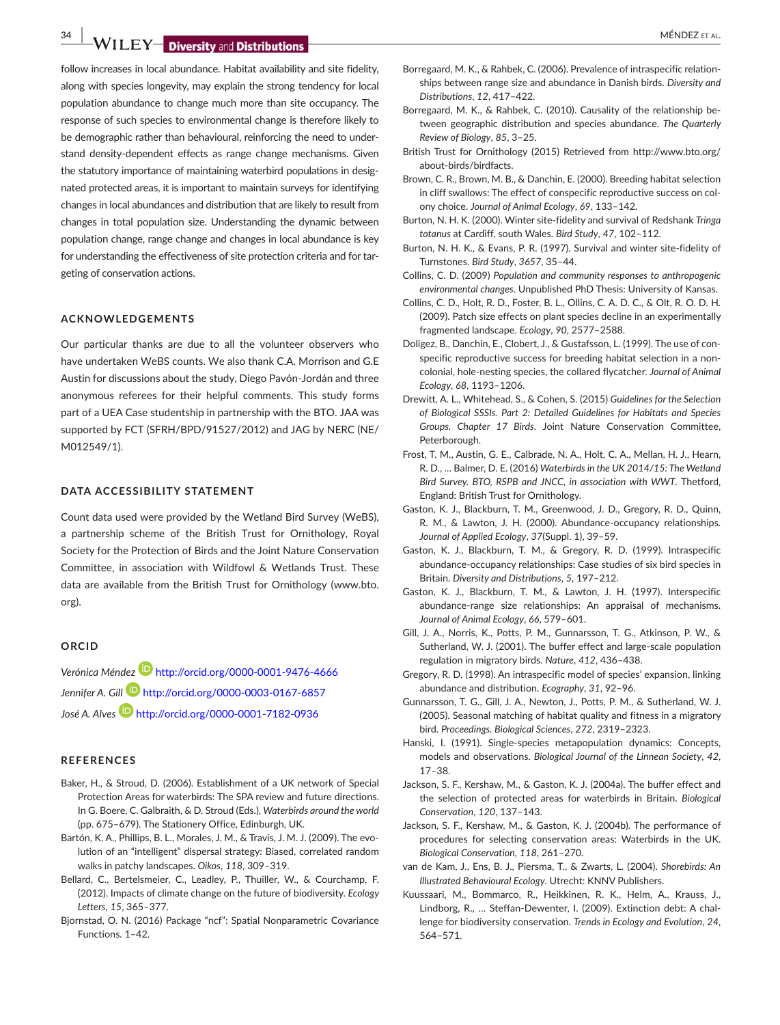**34 WILEY Diversity and Distributions** 

follow increases in local abundance. Habitat availability and site fidelity, along with species longevity, may explain the strong tendency for local population abundance to change much more than site occupancy. The response of such species to environmental change is therefore likely to be demographic rather than behavioural, reinforcing the need to understand density-dependent effects as range change mechanisms. Given the statutory importance of maintaining waterbird populations in designated protected areas, it is important to maintain surveys for identifying changes in local abundances and distribution that are likely to result from changes in total population size. Understanding the dynamic between population change, range change and changes in local abundance is key for understanding the effectiveness of site protection criteria and for targeting of conservation actions.

## **ACKNOWLEDGEMENTS**

Our particular thanks are due to all the volunteer observers who have undertaken WeBS counts. We also thank C.A. Morrison and G.E Austin for discussions about the study, Diego Pavón-Jordán and three anonymous referees for their helpful comments. This study forms part of a UEA Case studentship in partnership with the BTO. JAA was supported by FCT (SFRH/BPD/91527/2012) and JAG by NERC (NE/ M012549/1).

#### **DATA ACCESSIBILITY STATEMENT**

Count data used were provided by the Wetland Bird Survey (WeBS), a partnership scheme of the British Trust for Ornithology, Royal Society for the Protection of Birds and the Joint Nature Conservation Committee, in association with Wildfowl & Wetlands Trust. These data are available from the British Trust for Ornithology ([www.bto.](http://www.bto.org) [org](http://www.bto.org)).

#### **ORCID**

*Verónica Ménde[z](http://orcid.org/0000-0001-9476-4666)* <http://orcid.org/0000-0001-9476-4666> *Jennifer A. Gill* <http://orcid.org/0000-0003-0167-6857> *José A. Alves* <http://orcid.org/0000-0001-7182-0936>

#### **REFERENCES**

- Baker, H., & Stroud, D. (2006). Establishment of a UK network of Special Protection Areas for waterbirds: The SPA review and future directions. In G. Boere, C. Galbraith, & D. Stroud (Eds.), *Waterbirds around the world* (pp. 675–679). The Stationery Office, Edinburgh, UK.
- Bartón, K. A., Phillips, B. L., Morales, J. M., & Travis, J. M. J. (2009). The evolution of an "intelligent" dispersal strategy: Biased, correlated random walks in patchy landscapes. *Oikos*, *118*, 309–319.
- Bellard, C., Bertelsmeier, C., Leadley, P., Thuiller, W., & Courchamp, F. (2012). Impacts of climate change on the future of biodiversity. *Ecology Letters*, *15*, 365–377.
- Bjornstad, O. N. (2016) Package "ncf": Spatial Nonparametric Covariance Functions. 1–42.
- Borregaard, M. K., & Rahbek, C. (2006). Prevalence of intraspecific relationships between range size and abundance in Danish birds. *Diversity and Distributions*, *12*, 417–422.
- Borregaard, M. K., & Rahbek, C. (2010). Causality of the relationship between geographic distribution and species abundance. *The Quarterly Review of Biology*, *85*, 3–25.
- British Trust for Ornithology (2015) Retrieved from [http://www.bto.org/](http://www.bto.org/about-birds/birdfacts) [about-birds/birdfacts](http://www.bto.org/about-birds/birdfacts).
- Brown, C. R., Brown, M. B., & Danchin, E. (2000). Breeding habitat selection in cliff swallows: The effect of conspecific reproductive success on colony choice. *Journal of Animal Ecology*, *69*, 133–142.
- Burton, N. H. K. (2000). Winter site-fidelity and survival of Redshank *Tringa totanus* at Cardiff, south Wales. *Bird Study*, *47*, 102–112.
- Burton, N. H. K., & Evans, P. R. (1997). Survival and winter site-fidelity of Turnstones. *Bird Study*, *3657*, 35–44.
- Collins, C. D. (2009) *Population and community responses to anthropogenic environmental changes*. Unpublished PhD Thesis: University of Kansas.
- Collins, C. D., Holt, R. D., Foster, B. L., Ollins, C. A. D. C., & Olt, R. O. D. H. (2009). Patch size effects on plant species decline in an experimentally fragmented landscape. *Ecology*, *90*, 2577–2588.
- Doligez, B., Danchin, E., Clobert, J., & Gustafsson, L. (1999). The use of conspecific reproductive success for breeding habitat selection in a noncolonial, hole-nesting species, the collared flycatcher. *Journal of Animal Ecology*, *68*, 1193–1206.
- Drewitt, A. L., Whitehead, S., & Cohen, S. (2015) *Guidelines for the Selection of Biological SSSIs. Part 2: Detailed Guidelines for Habitats and Species Groups. Chapter 17 Birds*. Joint Nature Conservation Committee, Peterborough.
- Frost, T. M., Austin, G. E., Calbrade, N. A., Holt, C. A., Mellan, H. J., Hearn, R. D., … Balmer, D. E. (2016) *Waterbirds in the UK 2014/15: The Wetland Bird Survey. BTO, RSPB and JNCC, in association with WWT*. Thetford, England: British Trust for Ornithology.
- Gaston, K. J., Blackburn, T. M., Greenwood, J. D., Gregory, R. D., Quinn, R. M., & Lawton, J. H. (2000). Abundance-occupancy relationships. *Journal of Applied Ecology*, *37*(Suppl. 1), 39–59.
- Gaston, K. J., Blackburn, T. M., & Gregory, R. D. (1999). Intraspecific abundance-occupancy relationships: Case studies of six bird species in Britain. *Diversity and Distributions*, *5*, 197–212.
- Gaston, K. J., Blackburn, T. M., & Lawton, J. H. (1997). Interspecific abundance-range size relationships: An appraisal of mechanisms. *Journal of Animal Ecology*, *66*, 579–601.
- Gill, J. A., Norris, K., Potts, P. M., Gunnarsson, T. G., Atkinson, P. W., & Sutherland, W. J. (2001). The buffer effect and large-scale population regulation in migratory birds. *Nature*, *412*, 436–438.
- Gregory, R. D. (1998). An intraspecific model of species' expansion, linking abundance and distribution. *Ecography*, *31*, 92–96.
- Gunnarsson, T. G., Gill, J. A., Newton, J., Potts, P. M., & Sutherland, W. J. (2005). Seasonal matching of habitat quality and fitness in a migratory bird. *Proceedings. Biological Sciences*, *272*, 2319–2323.
- Hanski, I. (1991). Single-species metapopulation dynamics: Concepts, models and observations. *Biological Journal of the Linnean Society*, *42*, 17–38.
- Jackson, S. F., Kershaw, M., & Gaston, K. J. (2004a). The buffer effect and the selection of protected areas for waterbirds in Britain. *Biological Conservation*, *120*, 137–143.
- Jackson, S. F., Kershaw, M., & Gaston, K. J. (2004b). The performance of procedures for selecting conservation areas: Waterbirds in the UK. *Biological Conservation*, *118*, 261–270.
- van de Kam, J., Ens, B. J., Piersma, T., & Zwarts, L. (2004). *Shorebirds: An Illustrated Behavioural Ecology*. Utrecht: KNNV Publishers.
- Kuussaari, M., Bommarco, R., Heikkinen, R. K., Helm, A., Krauss, J., Lindborg, R., … Steffan-Dewenter, I. (2009). Extinction debt: A challenge for biodiversity conservation. *Trends in Ecology and Evolution*, *24*, 564–571.